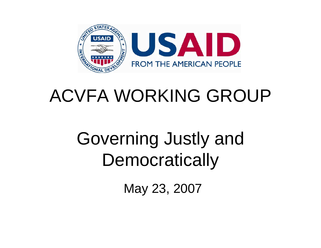

### ACVFA WORKING GROUP

### Governing Justly and **Democratically**

May 23, 2007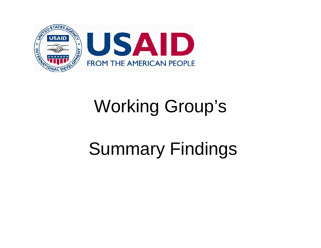

## Working Group's

# Summary Findings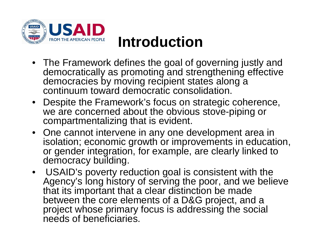

#### **Introduction**

- The Framework defines the goal of governing justly and democratically as promoting and strengthening effective democracies by moving recipient states along a continuum toward democratic consolidation.
- Despite the Framework's focus on strategic coherence, we are concerned about the obvious stove-piping or compartmentalizing that is evident.
- One cannot intervene in any one development area in isolation; economic growth or improvements in education, or gender integration, for example, are clearly linked to democracy building.
- USAID's poverty reduction goal is consistent with the Agency's long history of serving the poor, and we believe that its important that a clear distinction be made between the core elements of a D&G project, and a project whose primary focus is addressing the social needs of beneficiaries.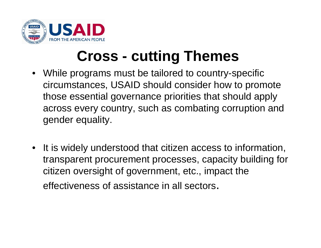

#### **Cross - cutting Themes**

- While programs must be tailored to country-specific circumstances, USAID should consider how to promote those essential governance priorities that should apply across every country, such as combating corruption and gender equality.
- It is widely understood that citizen access to information, transparent procurement processes, capacity building for citizen oversight of government, etc., impact the effectiveness of assistance in all sectors.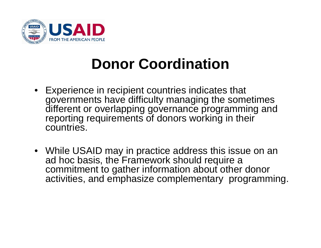

#### **Donor Coordination**

- Experience in recipient countries indicates that governments have difficulty managing the sometimes different or overlapping governance programming and reporting requirements of donors working in their countries.
- While USAID may in practice address this issue on an ad hoc basis, the Framework should require a commitment to gather information about other donor activities, and emphasize complementary programming.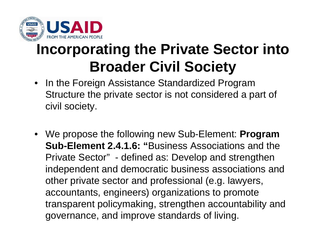

### **Incorporating the Private Sector into Broader Civil Society**

- $\bullet$  In the Foreign Assistance Standardized Program Structure the private sector is not considered a part of civil society.
- We propose the following new Sub-Element: **Program Sub-Element 2.4.1.6: "**Business Associations and the Private Sector" - defined as: Develop and strengthen independent and democratic business associations and other private sector and professional (e.g. lawyers, accountants, engineers) organizations to promote transparent policymaking, strengthen accountability and governance, and improve standards of living.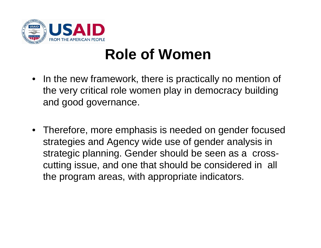

### **Role of Women**

- In the new framework, there is practically no mention of the very critical role women play in democracy building and good governance.
- Therefore, more emphasis is needed on gender focused strategies and Agency wide use of gender analysis in strategic planning. Gender should be seen as a crosscutting issue, and one that should be considered in all the program areas, with appropriate indicators.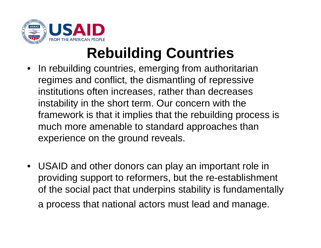

### **Rebuilding Countries**

- $\bullet$  In rebuilding countries, emerging from authoritarian regimes and conflict, the dismantling of repressive institutions often increases, rather than decreases instability in the short term. Our concern with the framework is that it implies that the rebuilding process is much more amenable to standard approaches than experience on the ground reveals.
- USAID and other donors can play an important role in providing support to reformers, but the re-establishment of the social pact that underpins stability is fundamentally a process that national actors must lead and manage.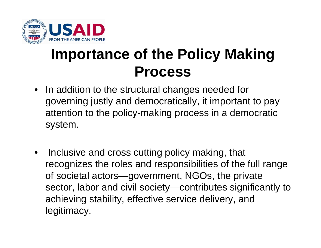

#### **Importance of the Policy Making Process**

- • In addition to the structural changes needed for governing justly and democratically, it important to pay attention to the policy-making process in a democratic system.
- • Inclusive and cross cutting policy making, that recognizes the roles and responsibilities of the full range of societal actors—government, NGOs, the private sector, labor and civil society—contributes significantly to achieving stability, effective service delivery, and legitimacy.